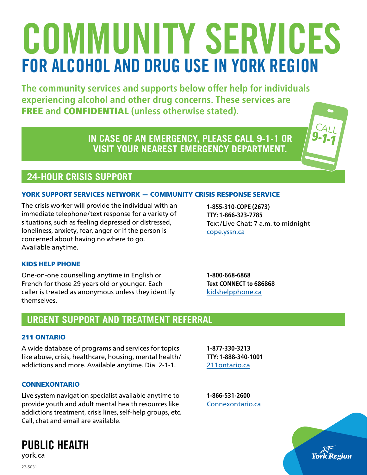# COMMUNITY SERVICES FOR ALCOHOL AND DRUG USE IN YORK REGION

**The community services and supports below offer help for individuals experiencing alcohol and other drug concerns. These services are**  FREE **and** CONFIDENTIAL **(unless otherwise stated).**

> **IN CASE OF AN EMERGENCY, PLEASE CALL 9-1-1 OR VISIT YOUR NEAREST EMERGENCY DEPARTMENT.**



### YORK SUPPORT SERVICES NETWORK — COMMUNITY CRISIS RESPONSE SERVICE

The crisis worker will provide the individual with an immediate telephone/text response for a variety of situations, such as feeling depressed or distressed, loneliness, anxiety, fear, anger or if the person is concerned about having no where to go. Available anytime.

**1-855-310-COPE (2673) TTY: 1-866-323-7785** Text/Live Chat: 7 a.m. to midnight [cope.yssn.ca](https://cope.yssn.ca)

#### KIDS HELP PHONE

One-on-one counselling anytime in English or French for those 29 years old or younger. Each caller is treated as anonymous unless they identify themselves.

**1-800-668-6868 Text CONNECT to 686868** [kidshelpphone.ca](https://kidshelpphone.ca)

# **URGENT SUPPORT AND TREATMENT REFERRAL**

#### 211 ONTARIO

A wide database of programs and services for topics like abuse, crisis, healthcare, housing, mental health/ addictions and more. Available anytime. Dial 2-1-1.

**TTY: 1-888-340-1001** [211ontario.ca](https://211ontario.ca)

**1-877-330-3213**

#### CONNEXONTARIO

Live system navigation specialist available anytime to provide youth and adult mental health resources like addictions treatment, crisis lines, self-help groups, etc. Call, chat and email are available.

**1-866-531-2600** [Connexontario.ca](https://connexontario.ca)



**CALL**  $9 - 1 - 1$ 

22-5031

PUBLIC HEALTH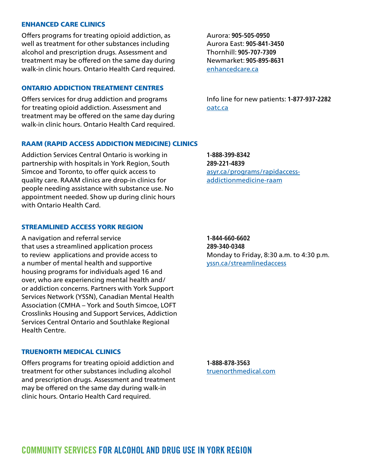#### ENHANCED CARE CLINICS

Offers programs for treating opioid addiction, as well as treatment for other substances including alcohol and prescription drugs. Assessment and treatment may be offered on the same day during walk-in clinic hours. Ontario Health Card required.

#### ONTARIO ADDICTION TREATMENT CENTRES

Offers services for drug addiction and programs for treating opioid addiction. Assessment and treatment may be offered on the same day during walk-in clinic hours. Ontario Health Card required.

Aurora: **905-505-0950** Aurora East: **905-841-3450** Thornhill: **905-707-7309** Newmarket: **905-895-8631** [enhancedcare.ca](https://www.enhancedcare.ca)

Info line for new patients: **1-877-937-2282** [oatc.ca](https://www.oatc.ca)

#### RAAM (RAPID ACCESS ADDICTION MEDICINE) CLINICS

Addiction Services Central Ontario is working in partnership with hospitals in York Region, South Simcoe and Toronto, to offer quick access to quality care. RAAM clinics are drop-in clinics for people needing assistance with substance use. No appointment needed. Show up during clinic hours with Ontario Health Card.

#### STREAMLINED ACCESS YORK REGION

A navigation and referral service that uses a streamlined application process to review applications and provide access to a number of mental health and supportive housing programs for individuals aged 16 and over, who are experiencing mental health and/ or addiction concerns. Partners with York Support Services Network (YSSN), Canadian Mental Health Association (CMHA – York and South Simcoe, LOFT Crosslinks Housing and Support Services, Addiction Services Central Ontario and Southlake Regional Health Centre.

#### TRUENORTH MEDICAL CLINICS

Offers programs for treating opioid addiction and treatment for other substances including alcohol and prescription drugs. Assessment and treatment may be offered on the same day during walk-in clinic hours. Ontario Health Card required.

**1-888-399-8342 289-221-4839** [asyr.ca/programs/rapidaccess](https://www.asyr.ca/programs/rapid-access-addiction-medicine-raam/)[addictionmedicine-raam](https://www.asyr.ca/programs/rapid-access-addiction-medicine-raam/)

**1-844-660-6602 289-340-0348** Monday to Friday, 8:30 a.m. to 4:30 p.m. [yssn.ca/streamlinedaccess](https://www.yssn.ca/streamlined-access)

**1-888-878-3563** [truenorthmedical.com](https://www.truenorthmedical.com)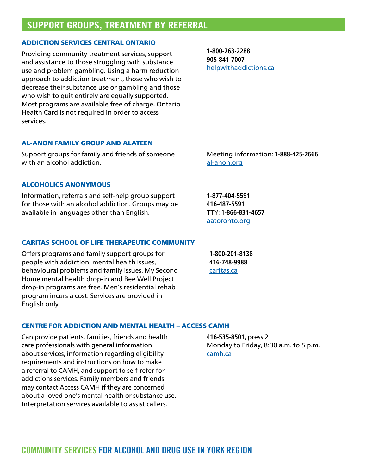## **SUPPORT GROUPS, TREATMENT BY REFERRAL**

#### ADDICTION SERVICES CENTRAL ONTARIO

Providing community treatment services, support and assistance to those struggling with substance use and problem gambling. Using a harm reduction approach to addiction treatment, those who wish to decrease their substance use or gambling and those who wish to quit entirely are equally supported. Most programs are available free of charge. Ontario Health Card is not required in order to access services.

**1-800-263-2288 905-841-7007** [helpwithaddictions](https://helpwithaddictions.ca/en/).ca

#### AL-ANON FAMILY GROUP AND ALATEEN

Support groups for family and friends of someone with an alcohol addiction.

#### ALCOHOLICS ANONYMOUS

Information, referrals and self-help group support for those with an alcohol addiction. Groups may be available in languages other than English.

Meeting information: **1-888-425-2666** [al-anon.org](https://al-anon.org)

**1-877-404-5591 416-487-5591** TTY: **1-866-831-4657** [aatoronto.org](https://www.aatoronto.org)

#### CARITAS SCHOOL OF LIFE THERAPEUTIC COMMUNITY

Offers programs and family support groups for people with addiction, mental health issues, behavioural problems and family issues. My Second Home mental health drop-in and Bee Well Project drop-in programs are free. Men's residential rehab program incurs a cost. Services are provided in English only.

**1-800-201-8138 416-748-9988** [caritas.ca](http://caritas.ca)

#### CENTRE FOR ADDICTION AND MENTAL HEALTH – ACCESS CAMH

Can provide patients, families, friends and health care professionals with general information about services, information regarding eligibility requirements and instructions on how to make a referral to CAMH, and support to self-refer for addictions services. Family members and friends may contact Access CAMH if they are concerned about a loved one's mental health or substance use. Interpretation services available to assist callers.

**416-535-8501,** press 2 Monday to Friday, 8:30 a.m. to 5 p.m. [camh.ca](https://www.camh.ca)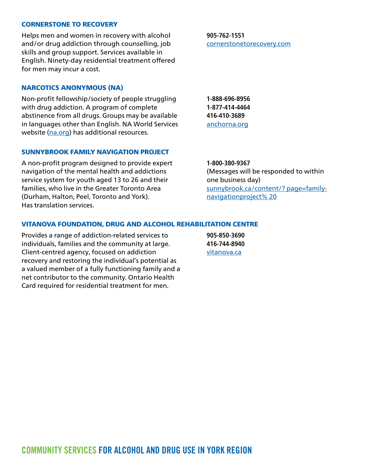#### CORNERSTONE TO RECOVERY

Helps men and women in recovery with alcohol and/or drug addiction through counselling, job skills and group support. Services available in English. Ninety-day residential treatment offered for men may incur a cost.

NARCOTICS ANONYMOUS (NA)

Non-profit fellowship/society of people struggling with drug addiction. A program of complete abstinence from all drugs. Groups may be available in languages other than English. NA World Services website [\(na.org\)](https://www.na.org) has additional resources.

#### SUNNYBROOK FAMILY NAVIGATION PROJECT

A non-profit program designed to provide expert navigation of the mental health and addictions service system for youth aged 13 to 26 and their families, who live in the Greater Toronto Area (Durham, Halton, Peel, Toronto and York). Has translation services.

**1-800-380-9367** (Messages will be responded to within one business day) [sunnybrook.ca/content/? page=family](https://sunnybrook.ca/content/?page=family-navigation-project)[navigationproject% 20](https://sunnybrook.ca/content/?page=family-navigation-project)

#### VITANOVA FOUNDATION, DRUG AND ALCOHOL REHABILITATION CENTRE

Provides a range of addiction-related services to individuals, families and the community at large. Client-centred agency, focused on addiction recovery and restoring the individual's potential as a valued member of a fully functioning family and a net contributor to the community. Ontario Health Card required for residential treatment for men.

**905-850-3690 416-744-8940** [vitanova.ca](http://vitanova.ca)

**1-888-696-8956**

**1-877-414-4464 416-410-3689** [anchorna.org](http://anchorna.org/anchorna/)

**905-762-1551**

[cornerstonetorecovery.com](https://cornerstonetorecovery.com)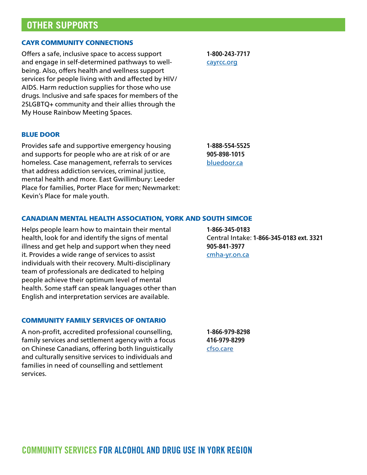## **OTHER SUPPORTS**

#### CAYR COMMUNITY CONNECTIONS

Offers a safe, inclusive space to access support and engage in self-determined pathways to wellbeing. Also, offers health and wellness support services for people living with and affected by HIV/ AIDS. Harm reduction supplies for those who use drugs. Inclusive and safe spaces for members of the 2SLGBTQ+ community and their allies through the My House Rainbow Meeting Spaces.

BLUE DOOR

Provides safe and supportive emergency housing and supports for people who are at risk of or are homeless. Case management, referrals to services that address addiction services, criminal justice, mental health and more. East Gwillimbury: Leeder Place for families, Porter Place for men; Newmarket: Kevin's Place for male youth.

**1-800-243-7717** [cayrcc.org](https://cayrcc.org)

**1-888-554-5525 905-898-1015** [bluedoor.ca](https://bluedoor.ca)

**1-866-345-0183**

#### CANADIAN MENTAL HEALTH ASSOCIATION, YORK AND SOUTH SIMCOE

Helps people learn how to maintain their mental health, look for and identify the signs of mental illness and get help and support when they need it. Provides a wide range of services to assist individuals with their recovery. Multi-disciplinary team of professionals are dedicated to helping people achieve their optimum level of mental health. Some staff can speak languages other than English and interpretation services are available.

#### COMMUNITY FAMILY SERVICES OF ONTARIO

A non-profit, accredited professional counselling, family services and settlement agency with a focus on Chinese Canadians, offering both linguistically and culturally sensitive services to individuals and families in need of counselling and settlement services.

**905-841-3977** [cmha-yr.on.ca](https://cmha-yr.on.ca)

Central Intake: **1-866-345-0183 ext. 3321**

**1-866-979-8298 416-979-8299** [cfso.care](https://cfso.care/)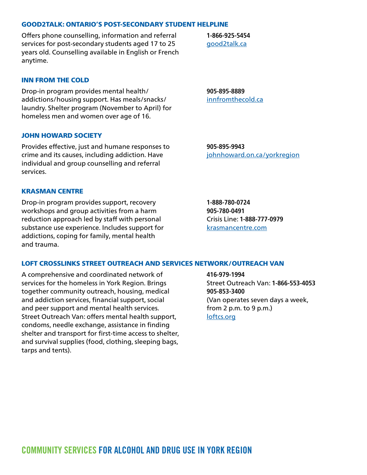#### [good2talk.ca](https://good2talk.ca)

GOOD2TALK: ONTARIO'S POST-SECONDARY STUDENT HELPLINE

services for post-secondary students aged 17 to 25 years old. Counselling available in English or French anytime.

Offers phone counselling, information and referral

#### INN FROM THE COLD

Drop-in program provides mental health/ addictions/housing support. Has meals/snacks/ laundry. Shelter program (November to April) for homeless men and women over age of 16.

**905-895-8889** [innfromthecold.ca](http://www.innfromthecold.ca)

**1-866-925-5454**

#### JOHN HOWARD SOCIETY

Provides effective, just and humane responses to crime and its causes, including addiction. Have individual and group counselling and referral services.

#### KRASMAN CENTRE

Drop-in program provides support, recovery workshops and group activities from a harm reduction approach led by staff with personal substance use experience. Includes support for addictions, coping for family, mental health and trauma.

**905-895-9943** [johnhoward.on.ca/yorkregion](https://johnhoward.on.ca/yorkregion/)

**1-888-780-0724 905-780-0491** Crisis Line: **1-888-777-0979** [krasmancentre.com](https://krasmancentre.com)

#### LOFT CROSSLINKS STREET OUTREACH AND SERVICES NETWORK/OUTREACH VAN

A comprehensive and coordinated network of services for the homeless in York Region. Brings together community outreach, housing, medical and addiction services, financial support, social and peer support and mental health services. Street Outreach Van: offers mental health support, condoms, needle exchange, assistance in finding shelter and transport for first-time access to shelter, and survival supplies (food, clothing, sleeping bags, tarps and tents).

**416-979-1994** Street Outreach Van: **1-866-553-4053 905-853-3400** (Van operates seven days a week, from 2 p.m. to 9 p.m.) [loftcs.org](https://www.loftcs.org)